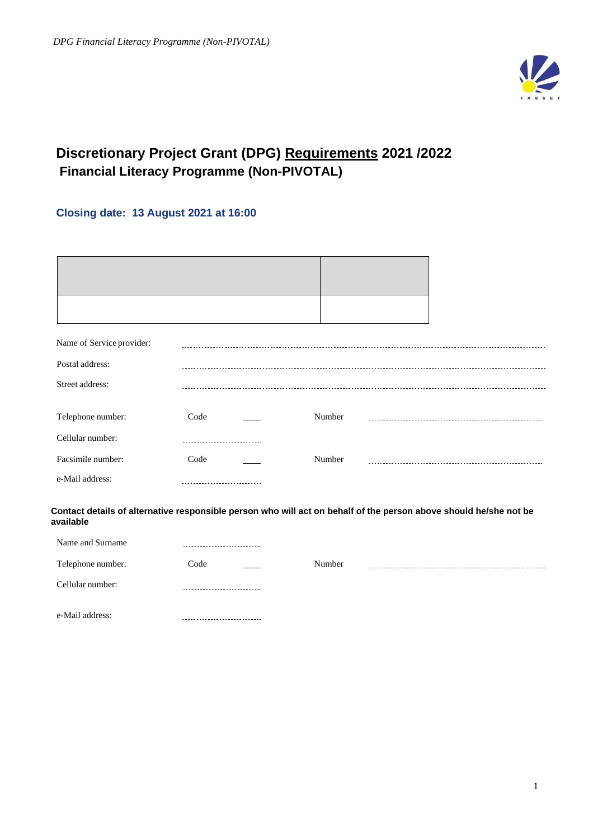

# **Discretionary Project Grant (DPG) Requirements 2021 /2022 Financial Literacy Programme (Non-PIVOTAL)**

# **Closing date: 13 August 2021 at 16:00**

| Name of Service provider: |                                                                                                                   |        |  |
|---------------------------|-------------------------------------------------------------------------------------------------------------------|--------|--|
| Postal address:           |                                                                                                                   |        |  |
| Street address:           |                                                                                                                   |        |  |
|                           | Code                                                                                                              | Number |  |
| Telephone number:         |                                                                                                                   |        |  |
| Cellular number:          | ---------------------                                                                                             |        |  |
| Facsimile number:         | Code                                                                                                              | Number |  |
| e-Mail address:           |                                                                                                                   |        |  |
| available                 | Contact details of alternative responsible person who will act on behalf of the person above should he/she not be |        |  |
| Name and Surname          |                                                                                                                   |        |  |
| Telephone number:         | Code                                                                                                              | Number |  |
| Cellular number:          |                                                                                                                   |        |  |
| e-Mail address:           |                                                                                                                   |        |  |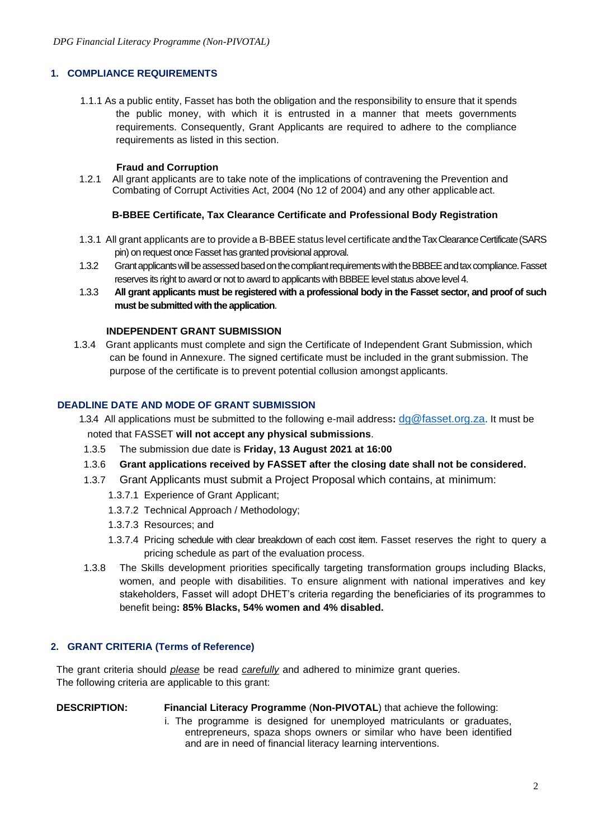### **1. COMPLIANCE REQUIREMENTS**

1.1.1 As a public entity, Fasset has both the obligation and the responsibility to ensure that it spends the public money, with which it is entrusted in a manner that meets governments requirements. Consequently, Grant Applicants are required to adhere to the compliance requirements as listed in this section.

### **Fraud and Corruption**

1.2.1 All grant applicants are to take note of the implications of contravening the Prevention and Combating of Corrupt Activities Act, 2004 (No 12 of 2004) and any other applicable act.

#### **B-BBEE Certificate, Tax Clearance Certificate and Professional Body Registration**

- 1.3.1 All grant applicants are to provide a B-BBEEstatus level certificate and the Tax Clearance Certificate (SARS pin) on request once Fasset has granted provisional approval.
- 1.3.2 Grant applicants will be assessed based on the compliant requirements with the BBBEE and tax compliance. Fasset reserves its right to award or not to award to applicants with BBBEE level status above level 4.
- 1.3.3 **All grant applicants must be registered with a professional body in the Fasset sector, and proof of such must be submitted with the application**.

#### **INDEPENDENT GRANT SUBMISSION**

1.3.4 Grant applicants must complete and sign the Certificate of Independent Grant Submission, which can be found in Annexure. The signed certificate must be included in the grant submission. The purpose of the certificate is to prevent potential collusion amongst applicants.

### **DEADLINE DATE AND MODE OF GRANT SUBMISSION**

 1.3.4 All applications must be submitted to the following e-mail address**:** [dg@fasset.org.za](mailto:dg@fasset.org.za). It must be noted that FASSET **will not accept any physical submissions**.

- 1.3.5 The submission due date is **Friday, 13 August 2021 at 16:00**
- 1.3.6 **Grant applications received by FASSET after the closing date shall not be considered.**
- 1.3.7 Grant Applicants must submit a Project Proposal which contains, at minimum:
	- 1.3.7.1 Experience of Grant Applicant;
	- 1.3.7.2 Technical Approach / Methodology;
	- 1.3.7.3 Resources; and
	- 1.3.7.4 Pricing schedule with clear breakdown of each cost item. Fasset reserves the right to query a pricing schedule as part of the evaluation process.
- 1.3.8 The Skills development priorities specifically targeting transformation groups including Blacks, women, and people with disabilities. To ensure alignment with national imperatives and key stakeholders, Fasset will adopt DHET's criteria regarding the beneficiaries of its programmes to benefit being**: 85% Blacks, 54% women and 4% disabled.**

### **2. GRANT CRITERIA (Terms of Reference)**

The grant criteria should *please* be read *carefully* and adhered to minimize grant queries. The following criteria are applicable to this grant:

### **DESCRIPTION: Financial Literacy Programme** (**Non-PIVOTAL**) that achieve the following:

i. The programme is designed for unemployed matriculants or graduates, entrepreneurs, spaza shops owners or similar who have been identified and are in need of financial literacy learning interventions.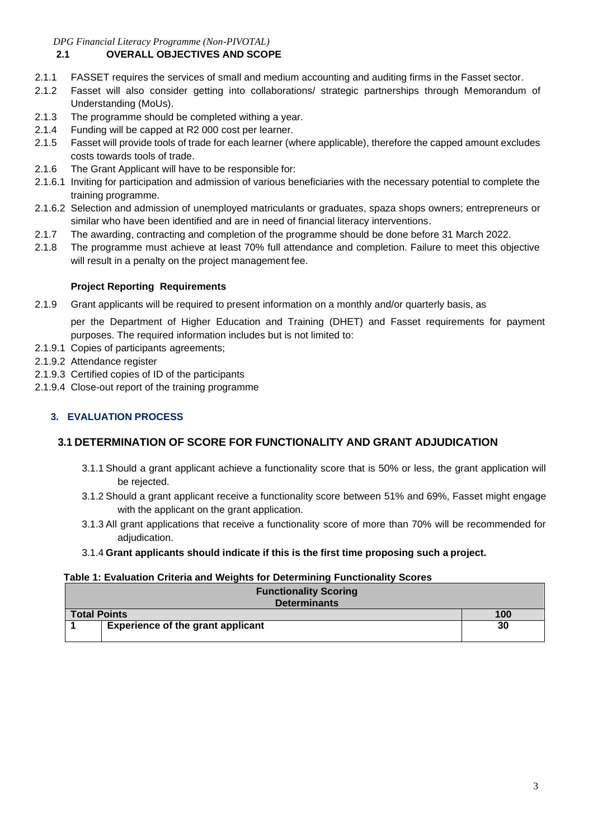*DPG Financial Literacy Programme (Non-PIVOTAL)*

# **2.1 OVERALL OBJECTIVES AND SCOPE**

- 2.1.1 FASSET requires the services of small and medium accounting and auditing firms in the Fasset sector.
- 2.1.2 Fasset will also consider getting into collaborations/ strategic partnerships through Memorandum of Understanding (MoUs).
- 2.1.3 The programme should be completed withing a year.
- 2.1.4 Funding will be capped at R2 000 cost per learner.
- 2.1.5 Fasset will provide tools of trade for each learner (where applicable), therefore the capped amount excludes costs towards tools of trade.
- 2.1.6 The Grant Applicant will have to be responsible for:
- 2.1.6.1 Inviting for participation and admission of various beneficiaries with the necessary potential to complete the training programme.
- 2.1.6.2 Selection and admission of unemployed matriculants or graduates, spaza shops owners; entrepreneurs or similar who have been identified and are in need of financial literacy interventions.
- 2.1.7 The awarding, contracting and completion of the programme should be done before 31 March 2022.
- 2.1.8 The programme must achieve at least 70% full attendance and completion. Failure to meet this objective will result in a penalty on the project management fee.

### **Project Reporting Requirements**

2.1.9 Grant applicants will be required to present information on a monthly and/or quarterly basis, as

per the Department of Higher Education and Training (DHET) and Fasset requirements for payment purposes. The required information includes but is not limited to:

- 2.1.9.1 Copies of participants agreements;
- 2.1.9.2 Attendance register
- 2.1.9.3 Certified copies of ID of the participants
- 2.1.9.4 Close-out report of the training programme

# **3. EVALUATION PROCESS**

## **3.1 DETERMINATION OF SCORE FOR FUNCTIONALITY AND GRANT ADJUDICATION**

- 3.1.1 Should a grant applicant achieve a functionality score that is 50% or less, the grant application will be rejected.
- 3.1.2 Should a grant applicant receive a functionality score between 51% and 69%, Fasset might engage with the applicant on the grant application.
- 3.1.3 All grant applications that receive a functionality score of more than 70% will be recommended for adjudication.
- 3.1.4 **Grant applicants should indicate if this is the first time proposing such a project.**

### **Table 1: Evaluation Criteria and Weights for Determining Functionality Scores**

| <b>Functionality Scoring</b><br><b>Determinants</b> |    |  |  |
|-----------------------------------------------------|----|--|--|
| <b>Total Points</b><br>100                          |    |  |  |
| <b>Experience of the grant applicant</b>            | 30 |  |  |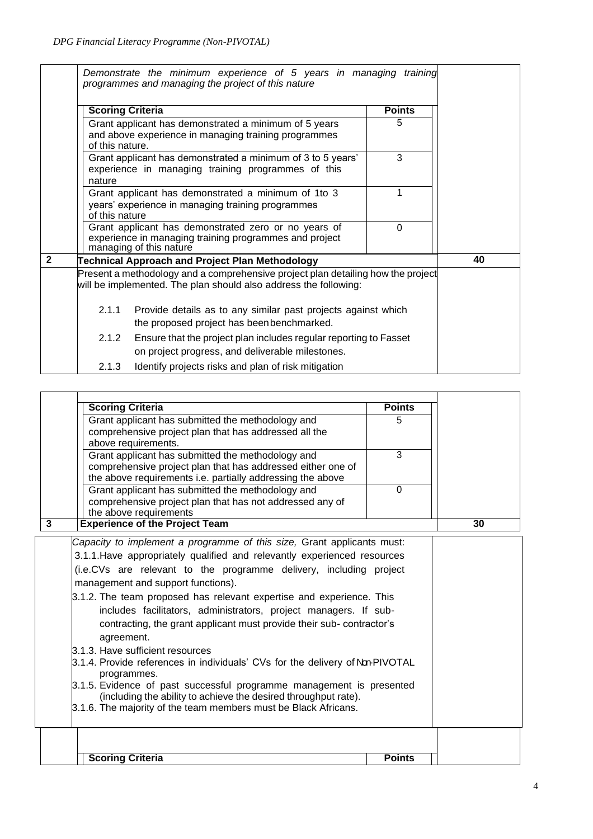|                         |                                                                                                                                | Demonstrate the minimum experience of 5 years in managing training<br>programmes and managing the project of this nature                             |               |    |
|-------------------------|--------------------------------------------------------------------------------------------------------------------------------|------------------------------------------------------------------------------------------------------------------------------------------------------|---------------|----|
|                         | <b>Scoring Criteria</b>                                                                                                        |                                                                                                                                                      | <b>Points</b> |    |
|                         | of this nature.                                                                                                                | Grant applicant has demonstrated a minimum of 5 years<br>and above experience in managing training programmes                                        | 5             |    |
|                         | nature                                                                                                                         | Grant applicant has demonstrated a minimum of 3 to 5 years'<br>experience in managing training programmes of this                                    | 3             |    |
|                         | Grant applicant has demonstrated a minimum of 1to 3<br>years' experience in managing training programmes<br>of this nature     |                                                                                                                                                      |               |    |
|                         |                                                                                                                                | Grant applicant has demonstrated zero or no years of<br>experience in managing training programmes and project<br>managing of this nature            | $\Omega$      |    |
| $\overline{\mathbf{2}}$ |                                                                                                                                | <b>Technical Approach and Project Plan Methodology</b>                                                                                               |               | 40 |
|                         |                                                                                                                                | Present a methodology and a comprehensive project plan detailing how the project<br>will be implemented. The plan should also address the following: |               |    |
|                         | Provide details as to any similar past projects against which<br>2.1.1<br>the proposed project has been benchmarked.           |                                                                                                                                                      |               |    |
|                         | Ensure that the project plan includes regular reporting to Fasset<br>2.1.2<br>on project progress, and deliverable milestones. |                                                                                                                                                      |               |    |
|                         | 2.1.3                                                                                                                          | Identify projects risks and plan of risk mitigation                                                                                                  |               |    |

| <b>Scoring Criteria</b>                                                                      | <b>Points</b> |    |
|----------------------------------------------------------------------------------------------|---------------|----|
| Grant applicant has submitted the methodology and                                            | 5             |    |
| comprehensive project plan that has addressed all the                                        |               |    |
| above requirements.                                                                          |               |    |
| Grant applicant has submitted the methodology and                                            | 3             |    |
| comprehensive project plan that has addressed either one of                                  |               |    |
| the above requirements i.e. partially addressing the above                                   |               |    |
| Grant applicant has submitted the methodology and                                            | $\Omega$      |    |
| comprehensive project plan that has not addressed any of                                     |               |    |
| the above requirements                                                                       |               |    |
| <b>Experience of the Project Team</b><br>$\overline{\mathbf{3}}$                             |               | 30 |
| Capacity to implement a programme of this size, Grant applicants must:                       |               |    |
| 3.1.1. Have appropriately qualified and relevantly experienced resources                     |               |    |
|                                                                                              |               |    |
| (i.e.CVs are relevant to the programme delivery, including project                           |               |    |
| management and support functions).                                                           |               |    |
| 3.1.2. The team proposed has relevant expertise and experience. This                         |               |    |
| includes facilitators, administrators, project managers. If sub-                             |               |    |
| contracting, the grant applicant must provide their sub-contractor's                         |               |    |
|                                                                                              |               |    |
| agreement.                                                                                   |               |    |
| 3.1.3. Have sufficient resources                                                             |               |    |
| 3.1.4. Provide references in individuals' CVs for the delivery of Non-PIVOTAL<br>programmes. |               |    |
| 3.1.5. Evidence of past successful programme management is presented                         |               |    |
| (including the ability to achieve the desired throughput rate).                              |               |    |
| 3.1.6. The majority of the team members must be Black Africans.                              |               |    |
|                                                                                              |               |    |
|                                                                                              |               |    |
|                                                                                              |               |    |
| <b>Scoring Criteria</b>                                                                      | <b>Points</b> |    |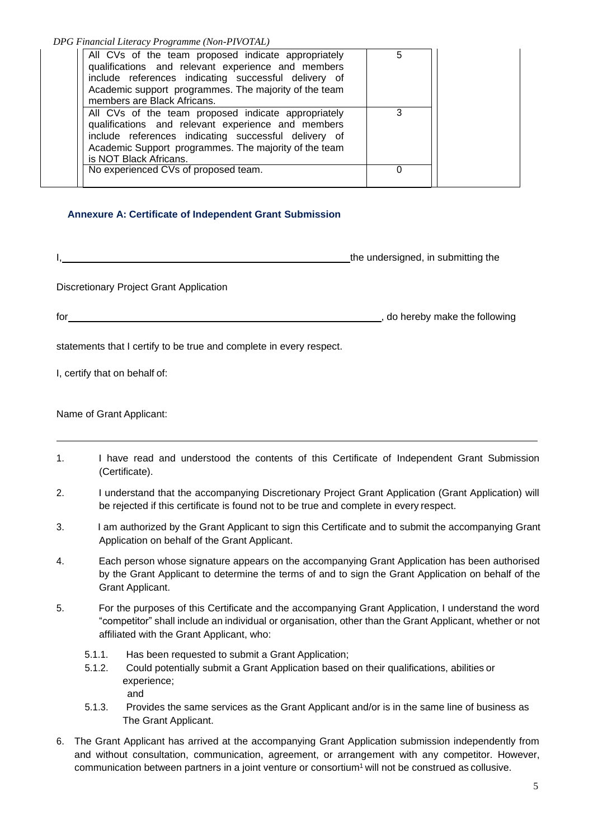*DPG Financial Literacy Programme (Non-PIVOTAL)*

| All CVs of the team proposed indicate appropriately<br>qualifications and relevant experience and members<br>include references indicating successful delivery of<br>Academic support programmes. The majority of the team<br>members are Black Africans. | 5 |  |
|-----------------------------------------------------------------------------------------------------------------------------------------------------------------------------------------------------------------------------------------------------------|---|--|
| All CVs of the team proposed indicate appropriately<br>qualifications and relevant experience and members<br>include references indicating successful delivery of<br>Academic Support programmes. The majority of the team<br>is NOT Black Africans.      | 3 |  |
| No experienced CVs of proposed team.                                                                                                                                                                                                                      |   |  |
|                                                                                                                                                                                                                                                           |   |  |

### **Annexure A: Certificate of Independent Grant Submission**

the undersigned, in submitting the

Discretionary Project Grant Application

for , do hereby make the following

statements that I certify to be true and complete in every respect.

I, certify that on behalf of:

Name of Grant Applicant:

- 1. I have read and understood the contents of this Certificate of Independent Grant Submission (Certificate).
- 2. I understand that the accompanying Discretionary Project Grant Application (Grant Application) will be rejected if this certificate is found not to be true and complete in every respect.
- 3. I am authorized by the Grant Applicant to sign this Certificate and to submit the accompanying Grant Application on behalf of the Grant Applicant.
- 4. Each person whose signature appears on the accompanying Grant Application has been authorised by the Grant Applicant to determine the terms of and to sign the Grant Application on behalf of the Grant Applicant.
- 5. For the purposes of this Certificate and the accompanying Grant Application, I understand the word "competitor" shall include an individual or organisation, other than the Grant Applicant, whether or not affiliated with the Grant Applicant, who:
	- 5.1.1. Has been requested to submit a Grant Application;
	- 5.1.2. Could potentially submit a Grant Application based on their qualifications, abilities or experience; and
	- 5.1.3. Provides the same services as the Grant Applicant and/or is in the same line of business as The Grant Applicant.
- 6. The Grant Applicant has arrived at the accompanying Grant Application submission independently from and without consultation, communication, agreement, or arrangement with any competitor. However, communication between partners in a joint venture or consortium<sup>1</sup> will not be construed as collusive.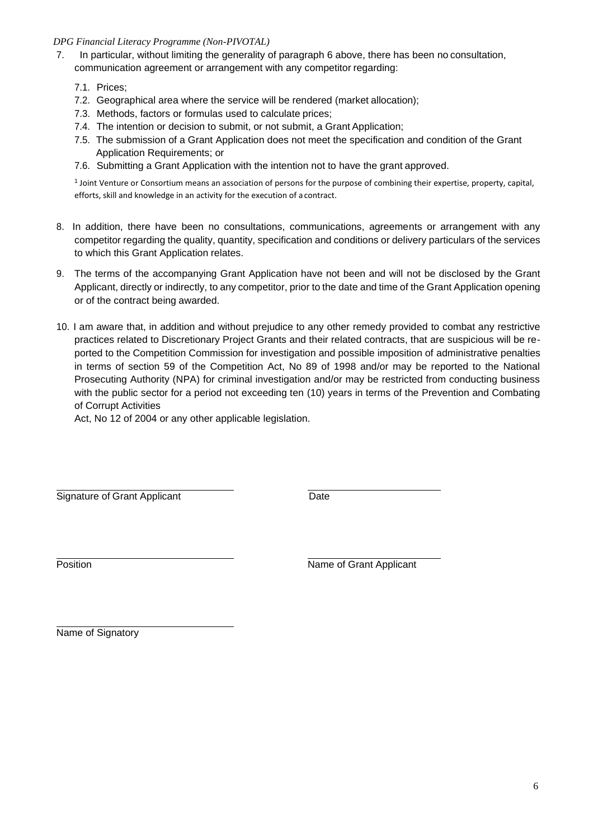### *DPG Financial Literacy Programme (Non-PIVOTAL)*

- 7. In particular, without limiting the generality of paragraph 6 above, there has been no consultation, communication agreement or arrangement with any competitor regarding:
	- 7.1. Prices;
	- 7.2. Geographical area where the service will be rendered (market allocation);
	- 7.3. Methods, factors or formulas used to calculate prices;
	- 7.4. The intention or decision to submit, or not submit, a Grant Application;
	- 7.5. The submission of a Grant Application does not meet the specification and condition of the Grant Application Requirements; or
	- 7.6. Submitting a Grant Application with the intention not to have the grant approved.

1 Joint Venture or Consortium means an association of persons for the purpose of combining their expertise, property, capital, efforts, skill and knowledge in an activity for the execution of acontract.

- 8. In addition, there have been no consultations, communications, agreements or arrangement with any competitor regarding the quality, quantity, specification and conditions or delivery particulars of the services to which this Grant Application relates.
- 9. The terms of the accompanying Grant Application have not been and will not be disclosed by the Grant Applicant, directly or indirectly, to any competitor, prior to the date and time of the Grant Application opening or of the contract being awarded.
- 10. I am aware that, in addition and without prejudice to any other remedy provided to combat any restrictive practices related to Discretionary Project Grants and their related contracts, that are suspicious will be reported to the Competition Commission for investigation and possible imposition of administrative penalties in terms of section 59 of the Competition Act, No 89 of 1998 and/or may be reported to the National Prosecuting Authority (NPA) for criminal investigation and/or may be restricted from conducting business with the public sector for a period not exceeding ten (10) years in terms of the Prevention and Combating of Corrupt Activities

Act, No 12 of 2004 or any other applicable legislation.

Signature of Grant Applicant **Date** 

Position **Name of Grant Applicant** 

Name of Signatory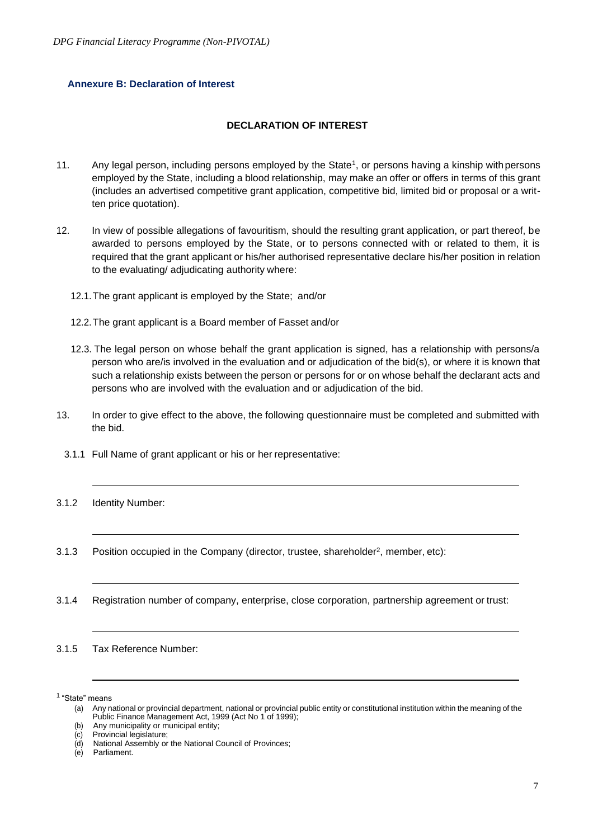#### **Annexure B: Declaration of Interest**

### **DECLARATION OF INTEREST**

- 11. Any legal person, including persons employed by the State<sup>1</sup>, or persons having a kinship with persons employed by the State, including a blood relationship, may make an offer or offers in terms of this grant (includes an advertised competitive grant application, competitive bid, limited bid or proposal or a written price quotation).
- 12. In view of possible allegations of favouritism, should the resulting grant application, or part thereof, be awarded to persons employed by the State, or to persons connected with or related to them, it is required that the grant applicant or his/her authorised representative declare his/her position in relation to the evaluating/ adjudicating authority where:
	- 12.1.The grant applicant is employed by the State; and/or
	- 12.2.The grant applicant is a Board member of Fasset and/or
	- 12.3. The legal person on whose behalf the grant application is signed, has a relationship with persons/a person who are/is involved in the evaluation and or adjudication of the bid(s), or where it is known that such a relationship exists between the person or persons for or on whose behalf the declarant acts and persons who are involved with the evaluation and or adjudication of the bid.
- 13. In order to give effect to the above, the following questionnaire must be completed and submitted with the bid.
	- 3.1.1 Full Name of grant applicant or his or her representative:
- 3.1.2 Identity Number:
- 3.1.3 Position occupied in the Company (director, trustee, shareholder<sup>2</sup>, member, etc):
- 3.1.4 Registration number of company, enterprise, close corporation, partnership agreement or trust:
- 3.1.5 Tax Reference Number:

<sup>1</sup>"State" means

<sup>(</sup>a) Any national or provincial department, national or provincial public entity or constitutional institution within the meaning of the Public Finance Management Act, 1999 (Act No 1 of 1999);

<sup>(</sup>b) Any municipality or municipal entity;

<sup>(</sup>c) Provincial legislature;

<sup>(</sup>d) National Assembly or the National Council of Provinces;

Parliament.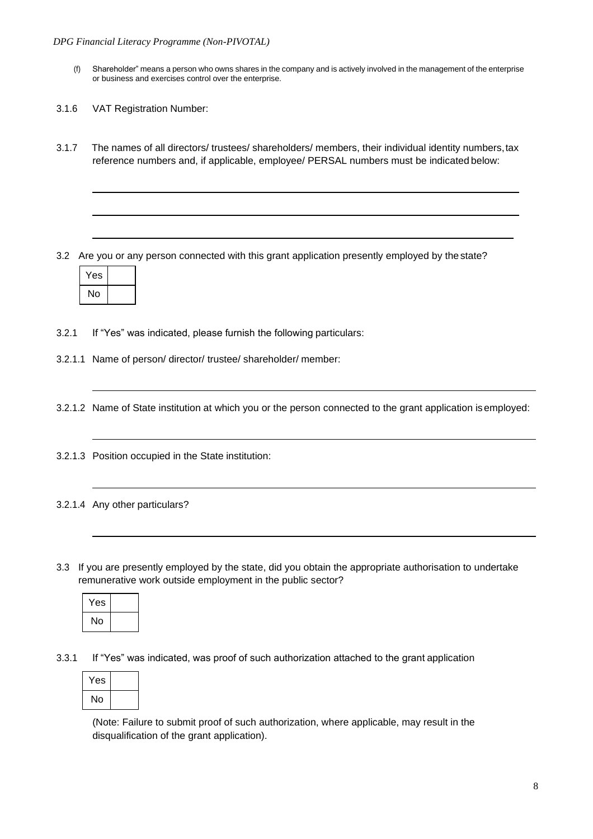- (f) Shareholder" means a person who owns shares in the company and is actively involved in the management of the enterprise or business and exercises control over the enterprise.
- 3.1.6 VAT Registration Number:
- 3.1.7 The names of all directors/ trustees/ shareholders/ members, their individual identity numbers,tax reference numbers and, if applicable, employee/ PERSAL numbers must be indicated below:

3.2 Are you or any person connected with this grant application presently employed by thestate?



3.2.1 If "Yes" was indicated, please furnish the following particulars:

3.2.1.1 Name of person/ director/ trustee/ shareholder/ member:

3.2.1.2 Name of State institution at which you or the person connected to the grant application isemployed:

3.2.1.3 Position occupied in the State institution:

### 3.2.1.4 Any other particulars?

3.3 If you are presently employed by the state, did you obtain the appropriate authorisation to undertake remunerative work outside employment in the public sector?



3.3.1 If "Yes" was indicated, was proof of such authorization attached to the grant application

| Yes |  |
|-----|--|
| No  |  |

(Note: Failure to submit proof of such authorization, where applicable, may result in the disqualification of the grant application).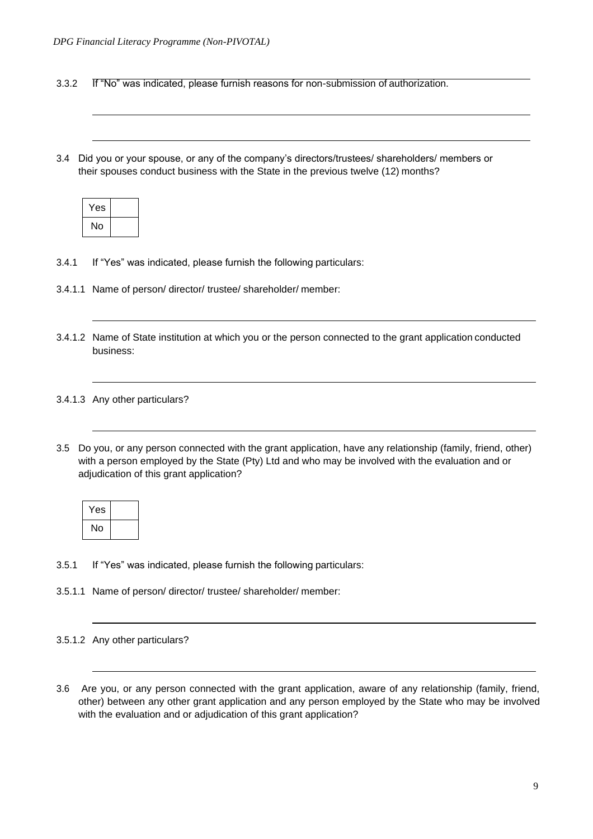3.3.2 If "No" was indicated, please furnish reasons for non-submission of authorization.

3.4 Did you or your spouse, or any of the company's directors/trustees/ shareholders/ members or their spouses conduct business with the State in the previous twelve (12) months?

| Yes |  |
|-----|--|
| No  |  |

- 3.4.1 If "Yes" was indicated, please furnish the following particulars:
- 3.4.1.1 Name of person/ director/ trustee/ shareholder/ member:
- 3.4.1.2 Name of State institution at which you or the person connected to the grant application conducted business:

### 3.4.1.3 Any other particulars?

3.5 Do you, or any person connected with the grant application, have any relationship (family, friend, other) with a person employed by the State (Pty) Ltd and who may be involved with the evaluation and or adjudication of this grant application?

| Yes |  |
|-----|--|
| No  |  |

- 3.5.1 If "Yes" was indicated, please furnish the following particulars:
- 3.5.1.1 Name of person/ director/ trustee/ shareholder/ member:
- 3.5.1.2 Any other particulars?
- 3.6 Are you, or any person connected with the grant application, aware of any relationship (family, friend, other) between any other grant application and any person employed by the State who may be involved with the evaluation and or adjudication of this grant application?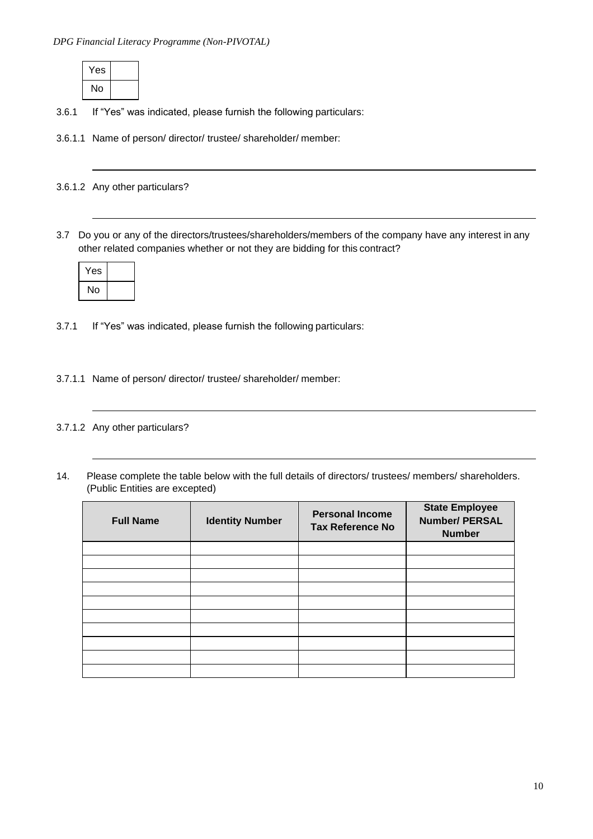| Yes |  |
|-----|--|
| No  |  |

- 3.6.1 If "Yes" was indicated, please furnish the following particulars:
- 3.6.1.1 Name of person/ director/ trustee/ shareholder/ member:

3.6.1.2 Any other particulars?

3.7 Do you or any of the directors/trustees/shareholders/members of the company have any interest in any other related companies whether or not they are bidding for this contract?

| Yes |  |
|-----|--|
| No  |  |

- 3.7.1 If "Yes" was indicated, please furnish the following particulars:
- 3.7.1.1 Name of person/ director/ trustee/ shareholder/ member:
- 3.7.1.2 Any other particulars?
- 14. Please complete the table below with the full details of directors/ trustees/ members/ shareholders. (Public Entities are excepted)

| <b>Full Name</b> | <b>Identity Number</b> | <b>Personal Income</b><br><b>Tax Reference No</b> | <b>State Employee</b><br><b>Number/ PERSAL</b><br><b>Number</b> |
|------------------|------------------------|---------------------------------------------------|-----------------------------------------------------------------|
|                  |                        |                                                   |                                                                 |
|                  |                        |                                                   |                                                                 |
|                  |                        |                                                   |                                                                 |
|                  |                        |                                                   |                                                                 |
|                  |                        |                                                   |                                                                 |
|                  |                        |                                                   |                                                                 |
|                  |                        |                                                   |                                                                 |
|                  |                        |                                                   |                                                                 |
|                  |                        |                                                   |                                                                 |
|                  |                        |                                                   |                                                                 |